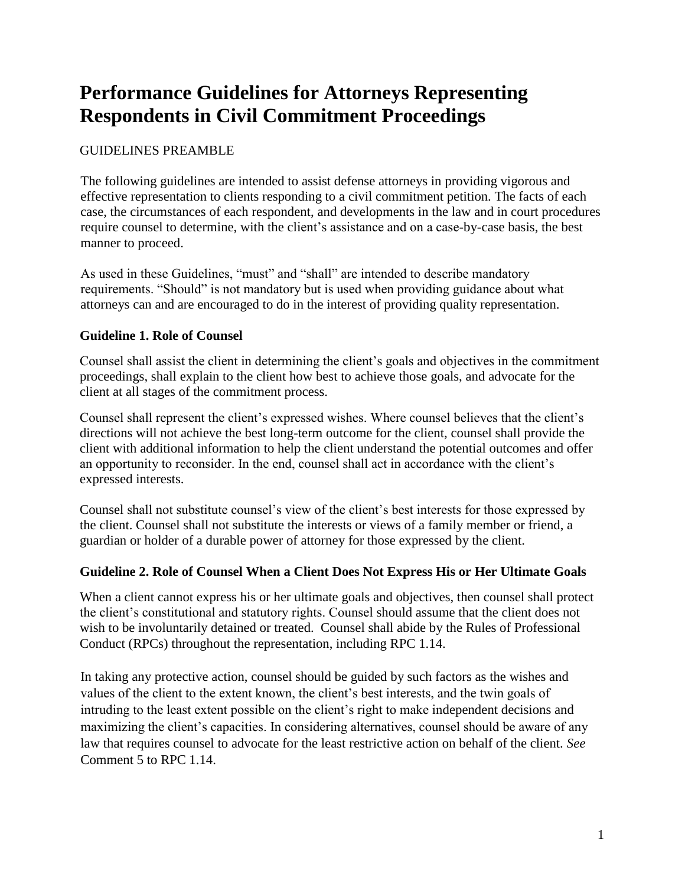# **Performance Guidelines for Attorneys Representing Respondents in Civil Commitment Proceedings**

# GUIDELINES PREAMBLE

The following guidelines are intended to assist defense attorneys in providing vigorous and effective representation to clients responding to a civil commitment petition. The facts of each case, the circumstances of each respondent, and developments in the law and in court procedures require counsel to determine, with the client's assistance and on a case-by-case basis, the best manner to proceed.

As used in these Guidelines, "must" and "shall" are intended to describe mandatory requirements. "Should" is not mandatory but is used when providing guidance about what attorneys can and are encouraged to do in the interest of providing quality representation.

# **Guideline 1. Role of Counsel**

Counsel shall assist the client in determining the client's goals and objectives in the commitment proceedings, shall explain to the client how best to achieve those goals, and advocate for the client at all stages of the commitment process.

Counsel shall represent the client's expressed wishes. Where counsel believes that the client's directions will not achieve the best long-term outcome for the client, counsel shall provide the client with additional information to help the client understand the potential outcomes and offer an opportunity to reconsider. In the end, counsel shall act in accordance with the client's expressed interests.

Counsel shall not substitute counsel's view of the client's best interests for those expressed by the client. Counsel shall not substitute the interests or views of a family member or friend, a guardian or holder of a durable power of attorney for those expressed by the client.

# **Guideline 2. Role of Counsel When a Client Does Not Express His or Her Ultimate Goals**

When a client cannot express his or her ultimate goals and objectives, then counsel shall protect the client's constitutional and statutory rights. Counsel should assume that the client does not wish to be involuntarily detained or treated. Counsel shall abide by the Rules of Professional Conduct (RPCs) throughout the representation, including RPC 1.14.

In taking any protective action, counsel should be guided by such factors as the wishes and values of the client to the extent known, the client's best interests, and the twin goals of intruding to the least extent possible on the client's right to make independent decisions and maximizing the client's capacities. In considering alternatives, counsel should be aware of any law that requires counsel to advocate for the least restrictive action on behalf of the client. *See*  Comment 5 to RPC 1.14.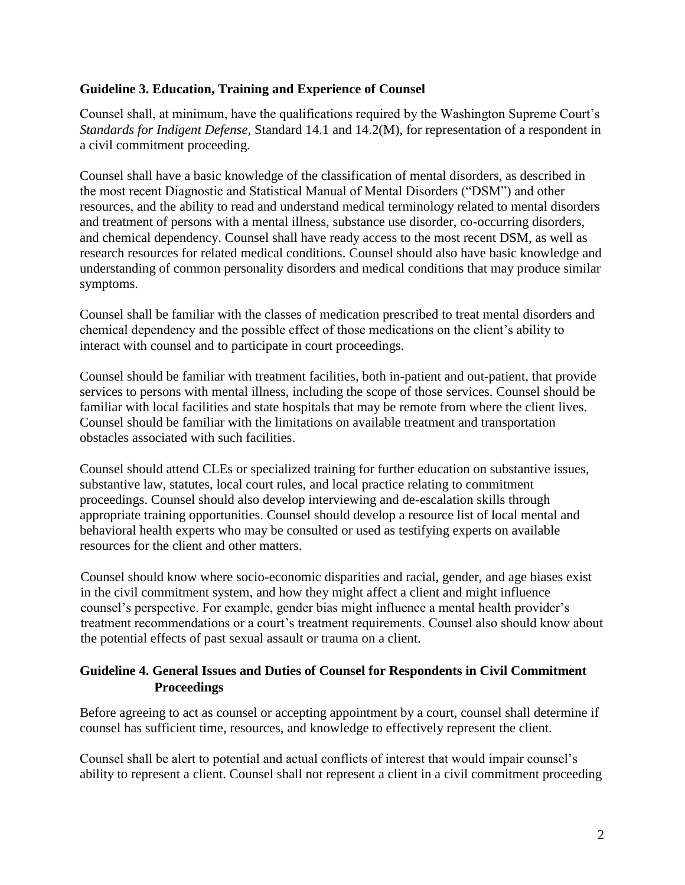# **Guideline 3. Education, Training and Experience of Counsel**

Counsel shall, at minimum, have the qualifications required by the Washington Supreme Court's *Standards for Indigent Defense,* Standard 14.1 and 14.2(M), for representation of a respondent in a civil commitment proceeding.

Counsel shall have a basic knowledge of the classification of mental disorders, as described in the most recent Diagnostic and Statistical Manual of Mental Disorders ("DSM") and other resources, and the ability to read and understand medical terminology related to mental disorders and treatment of persons with a mental illness, substance use disorder, co-occurring disorders, and chemical dependency. Counsel shall have ready access to the most recent DSM, as well as research resources for related medical conditions. Counsel should also have basic knowledge and understanding of common personality disorders and medical conditions that may produce similar symptoms.

Counsel shall be familiar with the classes of medication prescribed to treat mental disorders and chemical dependency and the possible effect of those medications on the client's ability to interact with counsel and to participate in court proceedings.

Counsel should be familiar with treatment facilities, both in-patient and out-patient, that provide services to persons with mental illness, including the scope of those services. Counsel should be familiar with local facilities and state hospitals that may be remote from where the client lives. Counsel should be familiar with the limitations on available treatment and transportation obstacles associated with such facilities.

Counsel should attend CLEs or specialized training for further education on substantive issues, substantive law, statutes, local court rules, and local practice relating to commitment proceedings. Counsel should also develop interviewing and de-escalation skills through appropriate training opportunities. Counsel should develop a resource list of local mental and behavioral health experts who may be consulted or used as testifying experts on available resources for the client and other matters.

Counsel should know where socio-economic disparities and racial, gender, and age biases exist in the civil commitment system, and how they might affect a client and might influence counsel's perspective. For example, gender bias might influence a mental health provider's treatment recommendations or a court's treatment requirements. Counsel also should know about the potential effects of past sexual assault or trauma on a client.

# **Guideline 4. General Issues and Duties of Counsel for Respondents in Civil Commitment Proceedings**

Before agreeing to act as counsel or accepting appointment by a court, counsel shall determine if counsel has sufficient time, resources, and knowledge to effectively represent the client.

Counsel shall be alert to potential and actual conflicts of interest that would impair counsel's ability to represent a client. Counsel shall not represent a client in a civil commitment proceeding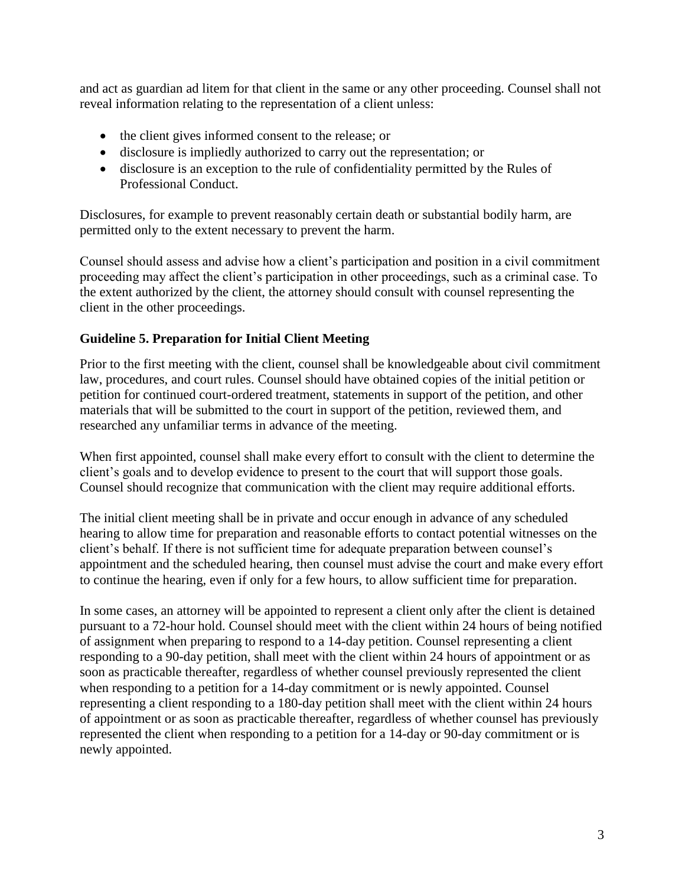and act as guardian ad litem for that client in the same or any other proceeding. Counsel shall not reveal information relating to the representation of a client unless:

- the client gives informed consent to the release; or
- disclosure is impliedly authorized to carry out the representation; or
- disclosure is an exception to the rule of confidentiality permitted by the Rules of Professional Conduct.

Disclosures, for example to prevent reasonably certain death or substantial bodily harm, are permitted only to the extent necessary to prevent the harm.

Counsel should assess and advise how a client's participation and position in a civil commitment proceeding may affect the client's participation in other proceedings, such as a criminal case. To the extent authorized by the client, the attorney should consult with counsel representing the client in the other proceedings.

# **Guideline 5. Preparation for Initial Client Meeting**

Prior to the first meeting with the client, counsel shall be knowledgeable about civil commitment law, procedures, and court rules. Counsel should have obtained copies of the initial petition or petition for continued court-ordered treatment, statements in support of the petition, and other materials that will be submitted to the court in support of the petition, reviewed them, and researched any unfamiliar terms in advance of the meeting.

When first appointed, counsel shall make every effort to consult with the client to determine the client's goals and to develop evidence to present to the court that will support those goals. Counsel should recognize that communication with the client may require additional efforts.

The initial client meeting shall be in private and occur enough in advance of any scheduled hearing to allow time for preparation and reasonable efforts to contact potential witnesses on the client's behalf. If there is not sufficient time for adequate preparation between counsel's appointment and the scheduled hearing, then counsel must advise the court and make every effort to continue the hearing, even if only for a few hours, to allow sufficient time for preparation.

In some cases, an attorney will be appointed to represent a client only after the client is detained pursuant to a 72-hour hold. Counsel should meet with the client within 24 hours of being notified of assignment when preparing to respond to a 14-day petition. Counsel representing a client responding to a 90-day petition, shall meet with the client within 24 hours of appointment or as soon as practicable thereafter, regardless of whether counsel previously represented the client when responding to a petition for a 14-day commitment or is newly appointed. Counsel representing a client responding to a 180-day petition shall meet with the client within 24 hours of appointment or as soon as practicable thereafter, regardless of whether counsel has previously represented the client when responding to a petition for a 14-day or 90-day commitment or is newly appointed.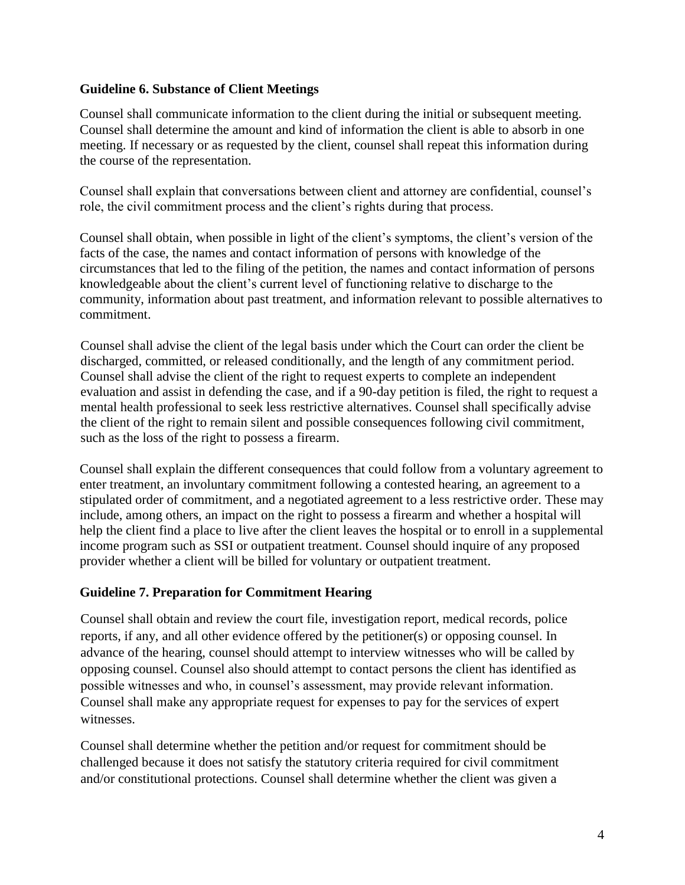#### **Guideline 6. Substance of Client Meetings**

Counsel shall communicate information to the client during the initial or subsequent meeting. Counsel shall determine the amount and kind of information the client is able to absorb in one meeting. If necessary or as requested by the client, counsel shall repeat this information during the course of the representation.

Counsel shall explain that conversations between client and attorney are confidential, counsel's role, the civil commitment process and the client's rights during that process.

Counsel shall obtain, when possible in light of the client's symptoms, the client's version of the facts of the case, the names and contact information of persons with knowledge of the circumstances that led to the filing of the petition, the names and contact information of persons knowledgeable about the client's current level of functioning relative to discharge to the community, information about past treatment, and information relevant to possible alternatives to commitment.

Counsel shall advise the client of the legal basis under which the Court can order the client be discharged, committed, or released conditionally, and the length of any commitment period. Counsel shall advise the client of the right to request experts to complete an independent evaluation and assist in defending the case, and if a 90-day petition is filed, the right to request a mental health professional to seek less restrictive alternatives. Counsel shall specifically advise the client of the right to remain silent and possible consequences following civil commitment, such as the loss of the right to possess a firearm.

Counsel shall explain the different consequences that could follow from a voluntary agreement to enter treatment, an involuntary commitment following a contested hearing, an agreement to a stipulated order of commitment, and a negotiated agreement to a less restrictive order. These may include, among others, an impact on the right to possess a firearm and whether a hospital will help the client find a place to live after the client leaves the hospital or to enroll in a supplemental income program such as SSI or outpatient treatment. Counsel should inquire of any proposed provider whether a client will be billed for voluntary or outpatient treatment.

#### **Guideline 7. Preparation for Commitment Hearing**

Counsel shall obtain and review the court file, investigation report, medical records, police reports, if any, and all other evidence offered by the petitioner(s) or opposing counsel. In advance of the hearing, counsel should attempt to interview witnesses who will be called by opposing counsel. Counsel also should attempt to contact persons the client has identified as possible witnesses and who, in counsel's assessment, may provide relevant information. Counsel shall make any appropriate request for expenses to pay for the services of expert witnesses.

Counsel shall determine whether the petition and/or request for commitment should be challenged because it does not satisfy the statutory criteria required for civil commitment and/or constitutional protections. Counsel shall determine whether the client was given a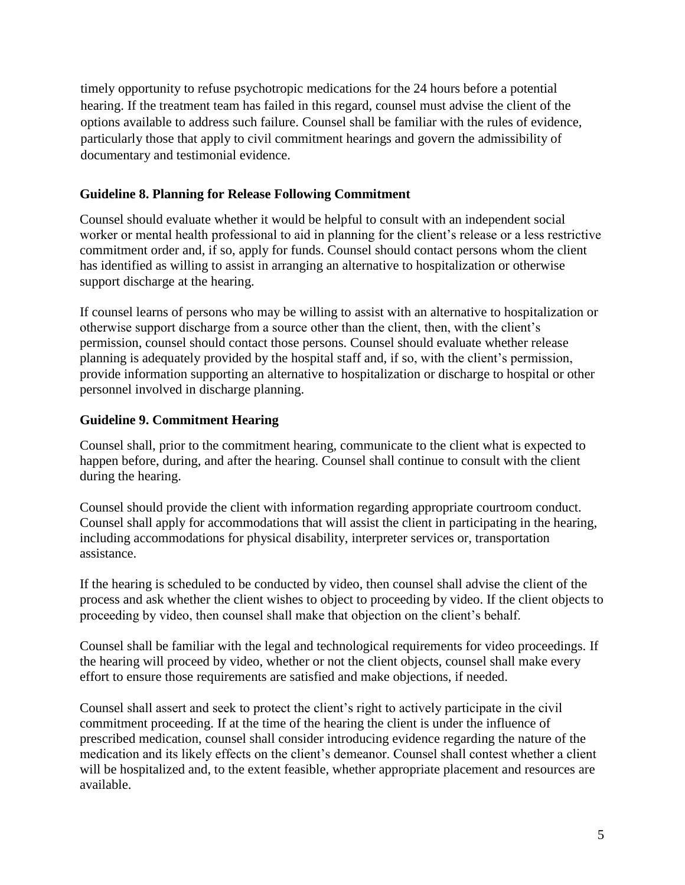timely opportunity to refuse psychotropic medications for the 24 hours before a potential hearing. If the treatment team has failed in this regard, counsel must advise the client of the options available to address such failure. Counsel shall be familiar with the rules of evidence, particularly those that apply to civil commitment hearings and govern the admissibility of documentary and testimonial evidence.

# **Guideline 8. Planning for Release Following Commitment**

Counsel should evaluate whether it would be helpful to consult with an independent social worker or mental health professional to aid in planning for the client's release or a less restrictive commitment order and, if so, apply for funds. Counsel should contact persons whom the client has identified as willing to assist in arranging an alternative to hospitalization or otherwise support discharge at the hearing.

If counsel learns of persons who may be willing to assist with an alternative to hospitalization or otherwise support discharge from a source other than the client, then, with the client's permission, counsel should contact those persons. Counsel should evaluate whether release planning is adequately provided by the hospital staff and, if so, with the client's permission, provide information supporting an alternative to hospitalization or discharge to hospital or other personnel involved in discharge planning.

# **Guideline 9. Commitment Hearing**

Counsel shall, prior to the commitment hearing, communicate to the client what is expected to happen before, during, and after the hearing. Counsel shall continue to consult with the client during the hearing.

Counsel should provide the client with information regarding appropriate courtroom conduct. Counsel shall apply for accommodations that will assist the client in participating in the hearing, including accommodations for physical disability, interpreter services or, transportation assistance.

If the hearing is scheduled to be conducted by video, then counsel shall advise the client of the process and ask whether the client wishes to object to proceeding by video. If the client objects to proceeding by video, then counsel shall make that objection on the client's behalf.

Counsel shall be familiar with the legal and technological requirements for video proceedings. If the hearing will proceed by video, whether or not the client objects, counsel shall make every effort to ensure those requirements are satisfied and make objections, if needed.

Counsel shall assert and seek to protect the client's right to actively participate in the civil commitment proceeding. If at the time of the hearing the client is under the influence of prescribed medication, counsel shall consider introducing evidence regarding the nature of the medication and its likely effects on the client's demeanor. Counsel shall contest whether a client will be hospitalized and, to the extent feasible, whether appropriate placement and resources are available.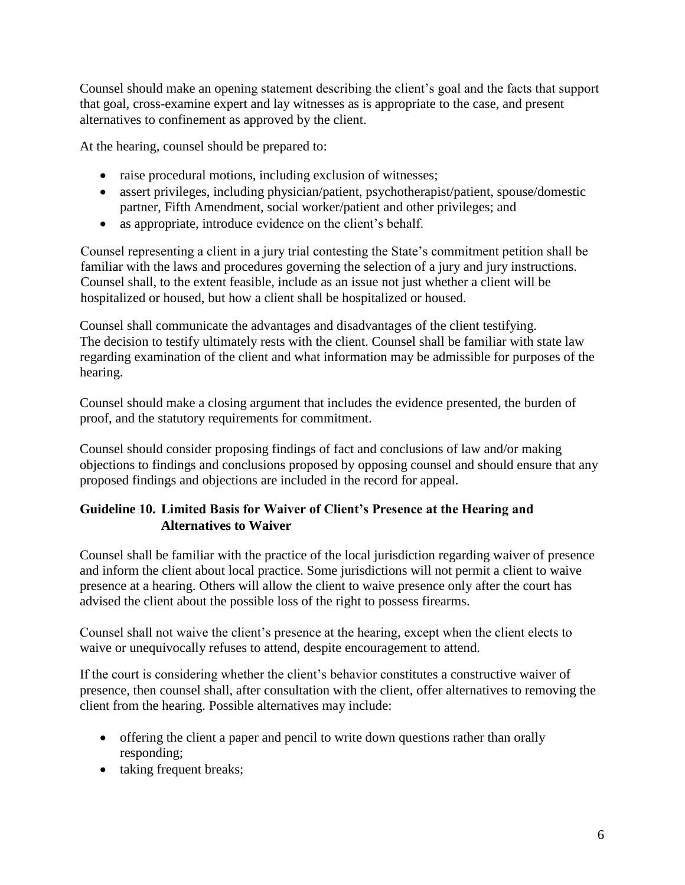Counsel should make an opening statement describing the client's goal and the facts that support that goal, cross-examine expert and lay witnesses as is appropriate to the case, and present alternatives to confinement as approved by the client.

At the hearing, counsel should be prepared to:

- raise procedural motions, including exclusion of witnesses;
- assert privileges, including physician/patient, psychotherapist/patient, spouse/domestic partner, Fifth Amendment, social worker/patient and other privileges; and
- as appropriate, introduce evidence on the client's behalf.

Counsel representing a client in a jury trial contesting the State's commitment petition shall be familiar with the laws and procedures governing the selection of a jury and jury instructions. Counsel shall, to the extent feasible, include as an issue not just whether a client will be hospitalized or housed, but how a client shall be hospitalized or housed.

Counsel shall communicate the advantages and disadvantages of the client testifying. The decision to testify ultimately rests with the client. Counsel shall be familiar with state law regarding examination of the client and what information may be admissible for purposes of the hearing.

Counsel should make a closing argument that includes the evidence presented, the burden of proof, and the statutory requirements for commitment.

Counsel should consider proposing findings of fact and conclusions of law and/or making objections to findings and conclusions proposed by opposing counsel and should ensure that any proposed findings and objections are included in the record for appeal.

# **Guideline 10. Limited Basis for Waiver of Client's Presence at the Hearing and Alternatives to Waiver**

Counsel shall be familiar with the practice of the local jurisdiction regarding waiver of presence and inform the client about local practice. Some jurisdictions will not permit a client to waive presence at a hearing. Others will allow the client to waive presence only after the court has advised the client about the possible loss of the right to possess firearms.

Counsel shall not waive the client's presence at the hearing, except when the client elects to waive or unequivocally refuses to attend, despite encouragement to attend.

If the court is considering whether the client's behavior constitutes a constructive waiver of presence, then counsel shall, after consultation with the client, offer alternatives to removing the client from the hearing. Possible alternatives may include:

- offering the client a paper and pencil to write down questions rather than orally responding;
- taking frequent breaks;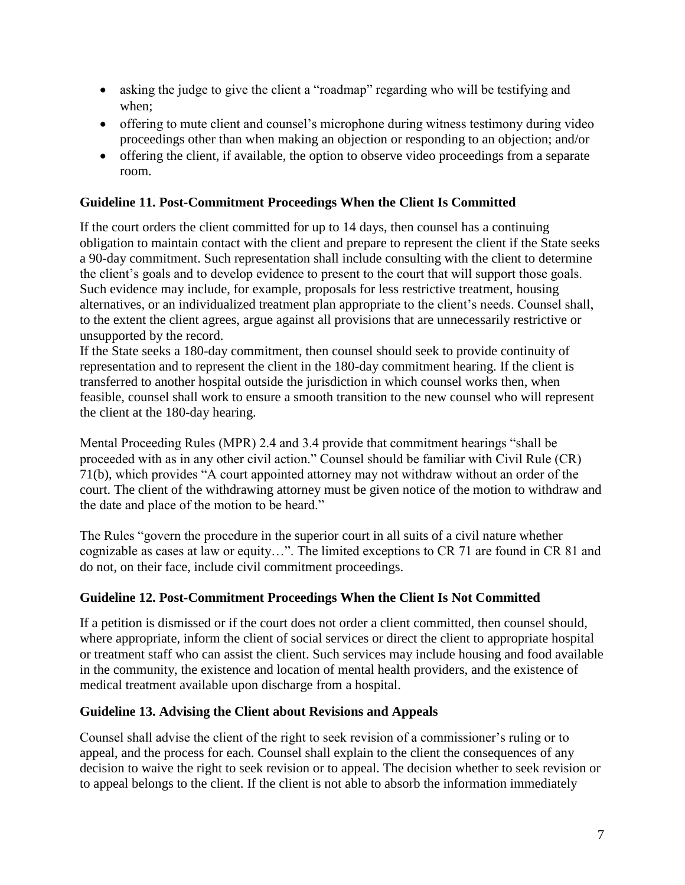- asking the judge to give the client a "roadmap" regarding who will be testifying and when;
- offering to mute client and counsel's microphone during witness testimony during video proceedings other than when making an objection or responding to an objection; and/or
- offering the client, if available, the option to observe video proceedings from a separate room.

# **Guideline 11. Post-Commitment Proceedings When the Client Is Committed**

If the court orders the client committed for up to 14 days, then counsel has a continuing obligation to maintain contact with the client and prepare to represent the client if the State seeks a 90-day commitment. Such representation shall include consulting with the client to determine the client's goals and to develop evidence to present to the court that will support those goals. Such evidence may include, for example, proposals for less restrictive treatment, housing alternatives, or an individualized treatment plan appropriate to the client's needs. Counsel shall, to the extent the client agrees, argue against all provisions that are unnecessarily restrictive or unsupported by the record.

If the State seeks a 180-day commitment, then counsel should seek to provide continuity of representation and to represent the client in the 180-day commitment hearing. If the client is transferred to another hospital outside the jurisdiction in which counsel works then, when feasible, counsel shall work to ensure a smooth transition to the new counsel who will represent the client at the 180-day hearing.

Mental Proceeding Rules (MPR) 2.4 and 3.4 provide that commitment hearings "shall be proceeded with as in any other civil action." Counsel should be familiar with Civil Rule (CR) 71(b), which provides "A court appointed attorney may not withdraw without an order of the court. The client of the withdrawing attorney must be given notice of the motion to withdraw and the date and place of the motion to be heard."

The Rules "govern the procedure in the superior court in all suits of a civil nature whether cognizable as cases at law or equity…". The limited exceptions to CR 71 are found in CR 81 and do not, on their face, include civil commitment proceedings.

# **Guideline 12. Post-Commitment Proceedings When the Client Is Not Committed**

If a petition is dismissed or if the court does not order a client committed, then counsel should, where appropriate, inform the client of social services or direct the client to appropriate hospital or treatment staff who can assist the client. Such services may include housing and food available in the community, the existence and location of mental health providers, and the existence of medical treatment available upon discharge from a hospital.

# **Guideline 13. Advising the Client about Revisions and Appeals**

Counsel shall advise the client of the right to seek revision of a commissioner's ruling or to appeal, and the process for each. Counsel shall explain to the client the consequences of any decision to waive the right to seek revision or to appeal. The decision whether to seek revision or to appeal belongs to the client. If the client is not able to absorb the information immediately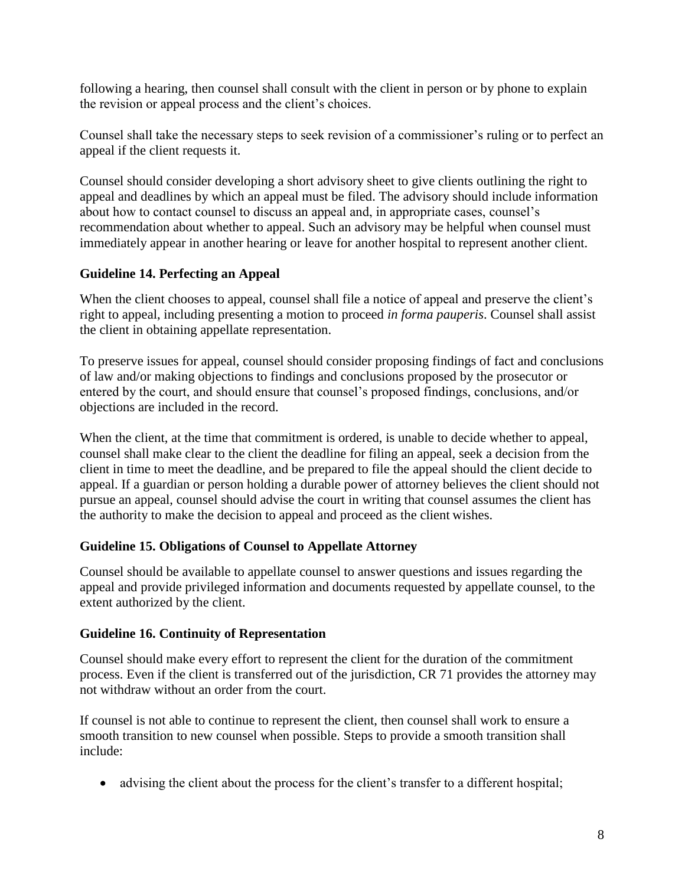following a hearing, then counsel shall consult with the client in person or by phone to explain the revision or appeal process and the client's choices.

Counsel shall take the necessary steps to seek revision of a commissioner's ruling or to perfect an appeal if the client requests it.

Counsel should consider developing a short advisory sheet to give clients outlining the right to appeal and deadlines by which an appeal must be filed. The advisory should include information about how to contact counsel to discuss an appeal and, in appropriate cases, counsel's recommendation about whether to appeal. Such an advisory may be helpful when counsel must immediately appear in another hearing or leave for another hospital to represent another client.

# **Guideline 14. Perfecting an Appeal**

When the client chooses to appeal, counsel shall file a notice of appeal and preserve the client's right to appeal, including presenting a motion to proceed *in forma pauperis*. Counsel shall assist the client in obtaining appellate representation.

To preserve issues for appeal, counsel should consider proposing findings of fact and conclusions of law and/or making objections to findings and conclusions proposed by the prosecutor or entered by the court, and should ensure that counsel's proposed findings, conclusions, and/or objections are included in the record.

When the client, at the time that commitment is ordered, is unable to decide whether to appeal, counsel shall make clear to the client the deadline for filing an appeal, seek a decision from the client in time to meet the deadline, and be prepared to file the appeal should the client decide to appeal. If a guardian or person holding a durable power of attorney believes the client should not pursue an appeal, counsel should advise the court in writing that counsel assumes the client has the authority to make the decision to appeal and proceed as the client wishes.

# **Guideline 15. Obligations of Counsel to Appellate Attorney**

Counsel should be available to appellate counsel to answer questions and issues regarding the appeal and provide privileged information and documents requested by appellate counsel, to the extent authorized by the client.

# **Guideline 16. Continuity of Representation**

Counsel should make every effort to represent the client for the duration of the commitment process. Even if the client is transferred out of the jurisdiction, CR 71 provides the attorney may not withdraw without an order from the court.

If counsel is not able to continue to represent the client, then counsel shall work to ensure a smooth transition to new counsel when possible. Steps to provide a smooth transition shall include:

• advising the client about the process for the client's transfer to a different hospital;